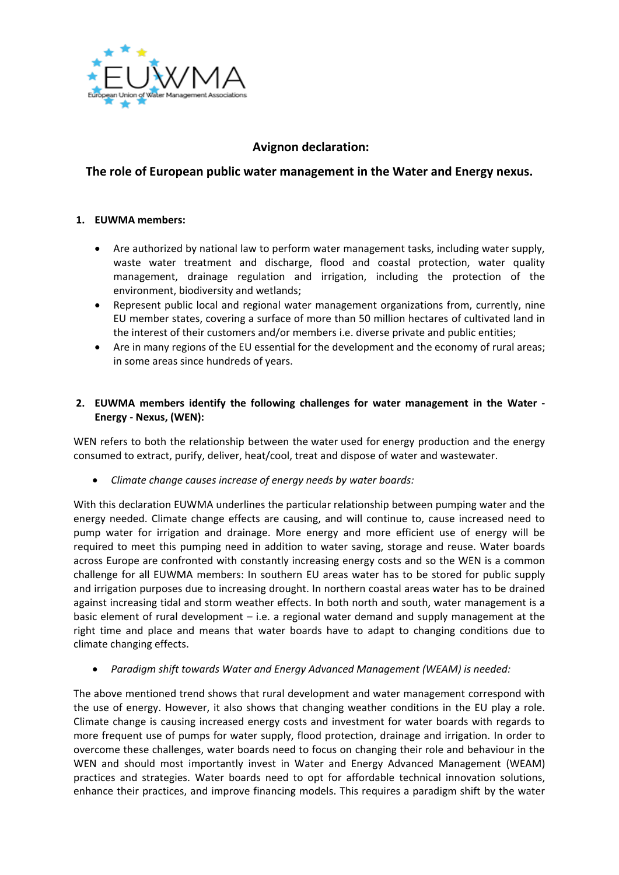

# **Avignon declaration:**

## **The role of European public water management in the Water and Energy nexus.**

#### **1. EUWMA members:**

- Are authorized by national law to perform water management tasks, including water supply, waste water treatment and discharge, flood and coastal protection, water quality management, drainage regulation and irrigation, including the protection of the environment, biodiversity and wetlands;
- Represent public local and regional water management organizations from, currently, nine EU member states, covering a surface of more than 50 million hectares of cultivated land in the interest of their customers and/or members i.e. diverse private and public entities;
- Are in many regions of the EU essential for the development and the economy of rural areas; in some areas since hundreds of years.

### **2. EUWMA members identify the following challenges for water management in the Water - Energy - Nexus, (WEN):**

WEN refers to both the relationship between the water used for energy production and the energy consumed to extract, purify, deliver, heat/cool, treat and dispose of water and wastewater.

• *Climate change causes increase of energy needs by water boards:*

With this declaration EUWMA underlines the particular relationship between pumping water and the energy needed. Climate change effects are causing, and will continue to, cause increased need to pump water for irrigation and drainage. More energy and more efficient use of energy will be required to meet this pumping need in addition to water saving, storage and reuse. Water boards across Europe are confronted with constantly increasing energy costs and so the WEN is a common challenge for all EUWMA members: In southern EU areas water has to be stored for public supply and irrigation purposes due to increasing drought. In northern coastal areas water has to be drained against increasing tidal and storm weather effects. In both north and south, water management is a basic element of rural development  $-$  i.e. a regional water demand and supply management at the right time and place and means that water boards have to adapt to changing conditions due to climate changing effects.

• *Paradigm shift towards Water and Energy Advanced Management (WEAM) is needed:*

The above mentioned trend shows that rural development and water management correspond with the use of energy. However, it also shows that changing weather conditions in the EU play a role. Climate change is causing increased energy costs and investment for water boards with regards to more frequent use of pumps for water supply, flood protection, drainage and irrigation. In order to overcome these challenges, water boards need to focus on changing their role and behaviour in the WEN and should most importantly invest in Water and Energy Advanced Management (WEAM) practices and strategies. Water boards need to opt for affordable technical innovation solutions, enhance their practices, and improve financing models. This requires a paradigm shift by the water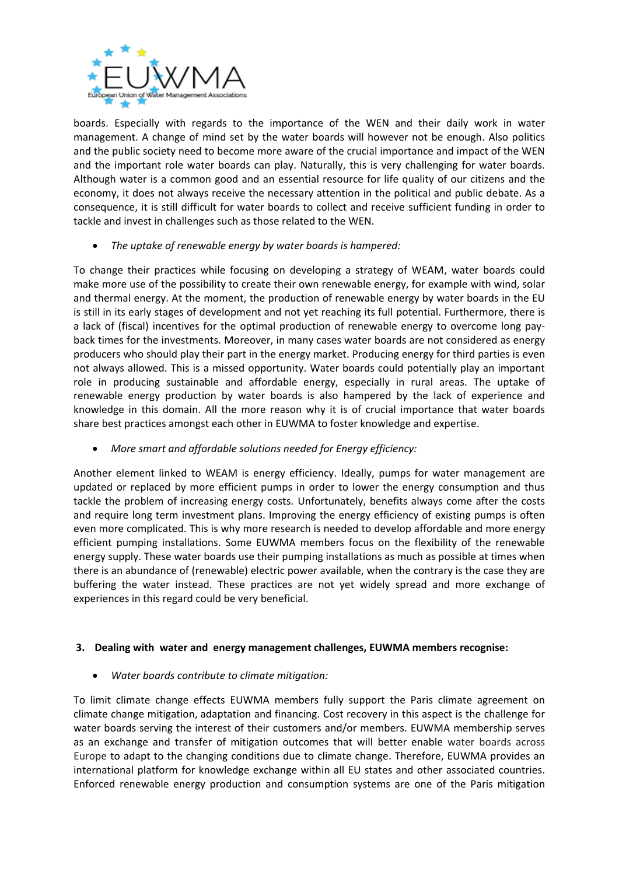

boards. Especially with regards to the importance of the WEN and their daily work in water management. A change of mind set by the water boards will however not be enough. Also politics and the public society need to become more aware of the crucial importance and impact of the WEN and the important role water boards can play. Naturally, this is very challenging for water boards. Although water is a common good and an essential resource for life quality of our citizens and the economy, it does not always receive the necessary attention in the political and public debate. As a consequence, it is still difficult for water boards to collect and receive sufficient funding in order to tackle and invest in challenges such as those related to the WEN.

• *The uptake of renewable energy by water boards is hampered:*

To change their practices while focusing on developing a strategy of WEAM, water boards could make more use of the possibility to create their own renewable energy, for example with wind, solar and thermal energy. At the moment, the production of renewable energy by water boards in the EU is still in its early stages of development and not yet reaching its full potential. Furthermore, there is a lack of (fiscal) incentives for the optimal production of renewable energy to overcome long payback times for the investments. Moreover, in many cases water boards are not considered as energy producers who should play their part in the energy market. Producing energy for third parties is even not always allowed. This is a missed opportunity. Water boards could potentially play an important role in producing sustainable and affordable energy, especially in rural areas. The uptake of renewable energy production by water boards is also hampered by the lack of experience and knowledge in this domain. All the more reason why it is of crucial importance that water boards share best practices amongst each other in EUWMA to foster knowledge and expertise.

• *More smart and affordable solutions needed for Energy efficiency:*

Another element linked to WEAM is energy efficiency. Ideally, pumps for water management are updated or replaced by more efficient pumps in order to lower the energy consumption and thus tackle the problem of increasing energy costs. Unfortunately, benefits always come after the costs and require long term investment plans. Improving the energy efficiency of existing pumps is often even more complicated. This is why more research is needed to develop affordable and more energy efficient pumping installations. Some EUWMA members focus on the flexibility of the renewable energy supply. These water boards use their pumping installations as much as possible at times when there is an abundance of (renewable) electric power available, when the contrary is the case they are buffering the water instead. These practices are not yet widely spread and more exchange of experiences in this regard could be very beneficial.

#### **3. Dealing with water and energy management challenges, EUWMA members recognise:**

• *Water boards contribute to climate mitigation:*

To limit climate change effects EUWMA members fully support the Paris climate agreement on climate change mitigation, adaptation and financing. Cost recovery in this aspect is the challenge for water boards serving the interest of their customers and/or members. EUWMA membership serves as an exchange and transfer of mitigation outcomes that will better enable water boards across Europe to adapt to the changing conditions due to climate change. Therefore, EUWMA provides an international platform for knowledge exchange within all EU states and other associated countries. Enforced renewable energy production and consumption systems are one of the Paris mitigation